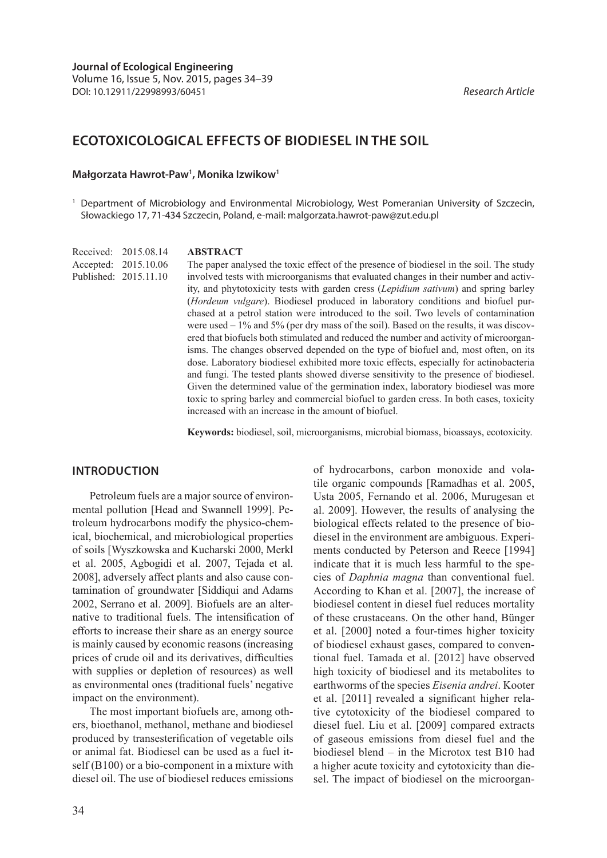# **ECOTOXICOLOGICAL EFFECTS OF BIODIESEL IN THE SOIL**

## **Małgorzata Hawrot-Paw1 , Monika Izwikow1**

<sup>1</sup> Department of Microbiology and Environmental Microbiology, West Pomeranian University of Szczecin, Słowackiego 17, 71-434 Szczecin, Poland, e-mail: malgorzata.hawrot-paw@zut.edu.pl

**ABSTRACT** Received: 2015.08.14

The paper analysed the toxic effect of the presence of biodiesel in the soil. The study involved tests with microorganisms that evaluated changes in their number and activity, and phytotoxicity tests with garden cress (*Lepidium sativum*) and spring barley (*Hordeum vulgare*). Biodiesel produced in laboratory conditions and biofuel purchased at a petrol station were introduced to the soil. Two levels of contamination were used – 1% and 5% (per dry mass of the soil). Based on the results, it was discovered that biofuels both stimulated and reduced the number and activity of microorganisms. The changes observed depended on the type of biofuel and, most often, on its dose. Laboratory biodiesel exhibited more toxic effects, especially for actinobacteria and fungi. The tested plants showed diverse sensitivity to the presence of biodiesel. Given the determined value of the germination index, laboratory biodiesel was more toxic to spring barley and commercial biofuel to garden cress. In both cases, toxicity increased with an increase in the amount of biofuel. Accepted: 2015.10.06 Published: 2015.11.10

**Keywords:** biodiesel, soil, microorganisms, microbial biomass, bioassays, ecotoxicity.

### **INTRODUCTION**

Petroleum fuels are a major source of environmental pollution [Head and Swannell 1999]. Petroleum hydrocarbons modify the physico-chemical, biochemical, and microbiological properties of soils [Wyszkowska and Kucharski 2000, Merkl et al. 2005, Agbogidi et al. 2007, Tejada et al. 2008], adversely affect plants and also cause contamination of groundwater [Siddiqui and Adams 2002, Serrano et al. 2009]. Biofuels are an alternative to traditional fuels. The intensification of efforts to increase their share as an energy source is mainly caused by economic reasons (increasing prices of crude oil and its derivatives, difficulties with supplies or depletion of resources) as well as environmental ones (traditional fuels' negative impact on the environment).

The most important biofuels are, among others, bioethanol, methanol, methane and biodiesel produced by transesterification of vegetable oils or animal fat. Biodiesel can be used as a fuel itself (B100) or a bio-component in a mixture with diesel oil. The use of biodiesel reduces emissions of hydrocarbons, carbon monoxide and volatile organic compounds [Ramadhas et al. 2005, Usta 2005, Fernando et al. 2006, Murugesan et al. 2009]. However, the results of analysing the biological effects related to the presence of biodiesel in the environment are ambiguous. Experiments conducted by Peterson and Reece [1994] indicate that it is much less harmful to the species of *Daphnia magna* than conventional fuel. According to Khan et al. [2007], the increase of biodiesel content in diesel fuel reduces mortality of these crustaceans. On the other hand, Bünger et al. [2000] noted a four-times higher toxicity of biodiesel exhaust gases, compared to conventional fuel. Tamada et al. [2012] have observed high toxicity of biodiesel and its metabolites to earthworms of the species *Eisenia andrei*. Kooter et al. [2011] revealed a significant higher relative cytotoxicity of the biodiesel compared to diesel fuel. Liu et al. [2009] compared extracts of gaseous emissions from diesel fuel and the biodiesel blend – in the Microtox test B10 had a higher acute toxicity and cytotoxicity than diesel. The impact of biodiesel on the microorgan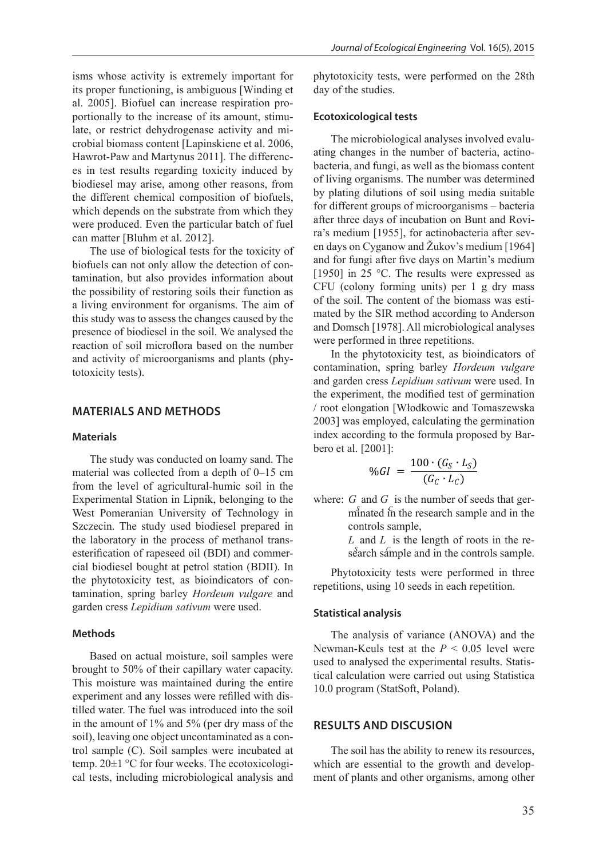isms whose activity is extremely important for its proper functioning, is ambiguous [Winding et al. 2005]. Biofuel can increase respiration proportionally to the increase of its amount, stimulate, or restrict dehydrogenase activity and microbial biomass content [Lapinskiene et al. 2006, Hawrot-Paw and Martynus 2011]. The differences in test results regarding toxicity induced by biodiesel may arise, among other reasons, from the different chemical composition of biofuels, which depends on the substrate from which they were produced. Even the particular batch of fuel can matter [Bluhm et al. 2012].

The use of biological tests for the toxicity of biofuels can not only allow the detection of contamination, but also provides information about the possibility of restoring soils their function as a living environment for organisms. The aim of this study was to assess the changes caused by the presence of biodiesel in the soil. We analysed the reaction of soil microflora based on the number and activity of microorganisms and plants (phytotoxicity tests).

## **MATERIALS AND METHODS**

#### **Materials**

The study was conducted on loamy sand. The material was collected from a depth of 0–15 cm from the level of agricultural-humic soil in the Experimental Station in Lipnik, belonging to the West Pomeranian University of Technology in Szczecin. The study used biodiesel prepared in the laboratory in the process of methanol transesterification of rapeseed oil (BDI) and commercial biodiesel bought at petrol station (BDII). In the phytotoxicity test, as bioindicators of contamination, spring barley *Hordeum vulgare* and garden cress *Lepidium sativum* were used.

#### **Methods**

Based on actual moisture, soil samples were brought to 50% of their capillary water capacity. This moisture was maintained during the entire experiment and any losses were refilled with distilled water. The fuel was introduced into the soil in the amount of 1% and 5% (per dry mass of the soil), leaving one object uncontaminated as a control sample (C). Soil samples were incubated at temp. 20±1 °C for four weeks. The ecotoxicological tests, including microbiological analysis and

phytotoxicity tests, were performed on the 28th day of the studies.

#### **Ecotoxicological tests**

The microbiological analyses involved evaluating changes in the number of bacteria, actinobacteria, and fungi, as well as the biomass content of living organisms. The number was determined by plating dilutions of soil using media suitable for different groups of microorganisms – bacteria after three days of incubation on Bunt and Rovira's medium [1955], for actinobacteria after seven days on Cyganow and Žukov's medium [1964] and for fungi after five days on Martin's medium [1950] in 25 °C. The results were expressed as CFU (colony forming units) per 1 g dry mass of the soil. The content of the biomass was estimated by the SIR method according to Anderson and Domsch [1978]. All microbiological analyses were performed in three repetitions.

In the phytotoxicity test, as bioindicators of contamination, spring barley *Hordeum vulgare*  and garden cress *Lepidium sativum* were used. In the experiment, the modified test of germination / root elongation [Włodkowic and Tomaszewska 2003] was employed, calculating the germination index according to the formula proposed by Barbero et al. [2001]:

$$
\%GI = \frac{100 \cdot (G_S \cdot L_S)}{(G_C \cdot L_C)}
$$

where: *G* and *G* is the number of seeds that ger-<br> $\frac{1}{2}$  is the necessary seemals and in the  $m<sub>i</sub>$  minated in the research sample and in the controls sample,

> *L* and *L* is the length of roots in the research sample and in the controls sample.

Phytotoxicity tests were performed in three repetitions, using 10 seeds in each repetition.

#### **Statistical analysis**

The analysis of variance (ANOVA) and the Newman-Keuls test at the *P* < 0.05 level were used to analysed the experimental results. Statistical calculation were carried out using Statistica 10.0 program (StatSoft, Poland).

# **RESULTS AND DISCUSION**

The soil has the ability to renew its resources, which are essential to the growth and development of plants and other organisms, among other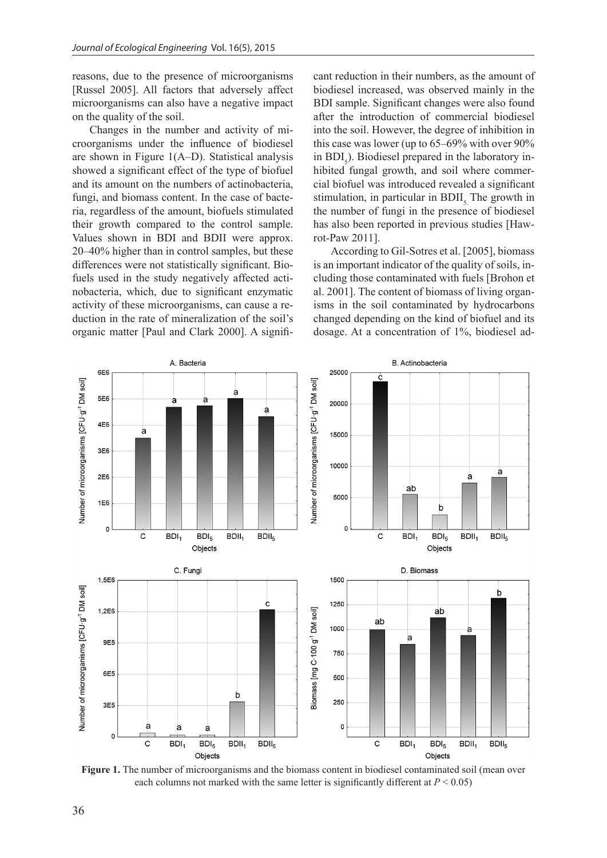reasons, due to the presence of microorganisms [Russel 2005]. All factors that adversely affect microorganisms can also have a negative impact on the quality of the soil.

Changes in the number and activity of microorganisms under the influence of biodiesel are shown in Figure 1(A–D). Statistical analysis showed a significant effect of the type of biofuel and its amount on the numbers of actinobacteria, fungi, and biomass content. In the case of bacteria, regardless of the amount, biofuels stimulated their growth compared to the control sample. Values shown in BDI and BDII were approx. 20–40% higher than in control samples, but these differences were not statistically significant. Biofuels used in the study negatively affected actinobacteria, which, due to significant enzymatic activity of these microorganisms, can cause a reduction in the rate of mineralization of the soil's organic matter [Paul and Clark 2000]. A significant reduction in their numbers, as the amount of biodiesel increased, was observed mainly in the BDI sample. Significant changes were also found after the introduction of commercial biodiesel into the soil. However, the degree of inhibition in this case was lower (up to 65–69% with over 90% in  $BDI_5$ ). Biodiesel prepared in the laboratory inhibited fungal growth, and soil where commercial biofuel was introduced revealed a significant stimulation, in particular in BDII. The growth in the number of fungi in the presence of biodiesel has also been reported in previous studies [Hawrot-Paw 2011].

According to Gil-Sotres et al. [2005], biomass is an important indicator of the quality of soils, including those contaminated with fuels [Brohon et al. 2001]. The content of biomass of living organisms in the soil contaminated by hydrocarbons changed depending on the kind of biofuel and its dosage. At a concentration of 1%, biodiesel ad-



**Figure 1.** The number of microorganisms and the biomass content in biodiesel contaminated soil (mean over each columns not marked with the same letter is significantly different at  $P < 0.05$ )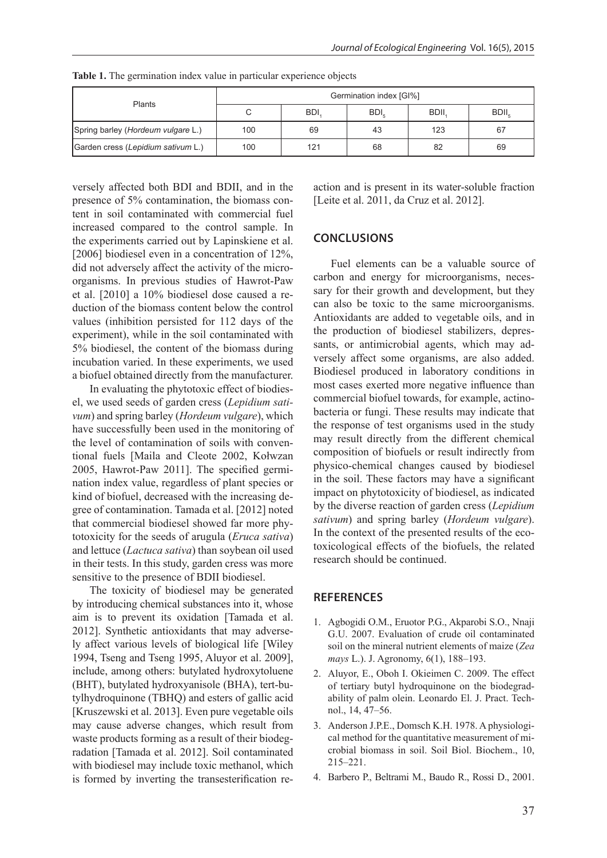| <b>Plants</b>                      | Germination index [GI%] |            |      |             |       |
|------------------------------------|-------------------------|------------|------|-------------|-------|
|                                    |                         | <b>BDI</b> | BDI, | <b>BDII</b> | BDII. |
| Spring barley (Hordeum vulgare L.) | 100                     | 69         | 43   | 123         | 67    |
| Garden cress (Lepidium sativum L.) | 100                     | 121        | 68   | 82          | 69    |

**Table 1.** The germination index value in particular experience objects

versely affected both BDI and BDII, and in the presence of 5% contamination, the biomass content in soil contaminated with commercial fuel increased compared to the control sample. In the experiments carried out by Lapinskiene et al. [2006] biodiesel even in a concentration of 12%, did not adversely affect the activity of the microorganisms. In previous studies of Hawrot-Paw et al. [2010] a 10% biodiesel dose caused a reduction of the biomass content below the control values (inhibition persisted for 112 days of the experiment), while in the soil contaminated with 5% biodiesel, the content of the biomass during incubation varied. In these experiments, we used a biofuel obtained directly from the manufacturer.

In evaluating the phytotoxic effect of biodiesel, we used seeds of garden cress (*Lepidium sativum*) and spring barley (*Hordeum vulgare*), which have successfully been used in the monitoring of the level of contamination of soils with conventional fuels [Maila and Cleote 2002, Kołwzan 2005, Hawrot-Paw 2011]. The specified germination index value, regardless of plant species or kind of biofuel, decreased with the increasing degree of contamination. Tamada et al. [2012] noted that commercial biodiesel showed far more phytotoxicity for the seeds of arugula (*Eruca sativa*) and lettuce (*Lactuca sativa*) than soybean oil used in their tests. In this study, garden cress was more sensitive to the presence of BDII biodiesel.

The toxicity of biodiesel may be generated by introducing chemical substances into it, whose aim is to prevent its oxidation [Tamada et al. 2012]. Synthetic antioxidants that may adversely affect various levels of biological life [Wiley 1994, Tseng and Tseng 1995, Aluyor et al. 2009], include, among others: butylated hydroxytoluene (BHT), butylated hydroxyanisole (BHA), tert-butylhydroquinone (TBHQ) and esters of gallic acid [Kruszewski et al. 2013]. Even pure vegetable oils may cause adverse changes, which result from waste products forming as a result of their biodegradation [Tamada et al. 2012]. Soil contaminated with biodiesel may include toxic methanol, which is formed by inverting the transesterification reaction and is present in its water-soluble fraction [Leite et al. 2011, da Cruz et al. 2012].

# **CONCLUSIONS**

Fuel elements can be a valuable source of carbon and energy for microorganisms, necessary for their growth and development, but they can also be toxic to the same microorganisms. Antioxidants are added to vegetable oils, and in the production of biodiesel stabilizers, depressants, or antimicrobial agents, which may adversely affect some organisms, are also added. Biodiesel produced in laboratory conditions in most cases exerted more negative influence than commercial biofuel towards, for example, actinobacteria or fungi. These results may indicate that the response of test organisms used in the study may result directly from the different chemical composition of biofuels or result indirectly from physico-chemical changes caused by biodiesel in the soil. These factors may have a significant impact on phytotoxicity of biodiesel, as indicated by the diverse reaction of garden cress (*Lepidium sativum*) and spring barley (*Hordeum vulgare*). In the context of the presented results of the ecotoxicological effects of the biofuels, the related research should be continued.

# **REFERENCES**

- 1. Agbogidi O.M., Eruotor P.G., Akparobi S.O., Nnaji G.U. 2007. Evaluation of crude oil contaminated soil on the mineral nutrient elements of maize (*Zea mays* L.). J. Agronomy, 6(1), 188–193.
- 2. Aluyor, E., Oboh I. Okieimen C. 2009. The effect of tertiary butyl hydroquinone on the biodegradability of palm olein. Leonardo El. J. Pract. Technol., 14, 47–56.
- 3. Anderson J.P.E., Domsch K.H. 1978. A physiological method for the quantitative measurement of microbial biomass in soil. Soil Biol. Biochem., 10, 215–221.
- 4. Barbero P., Beltrami M., Baudo R., Rossi D., 2001.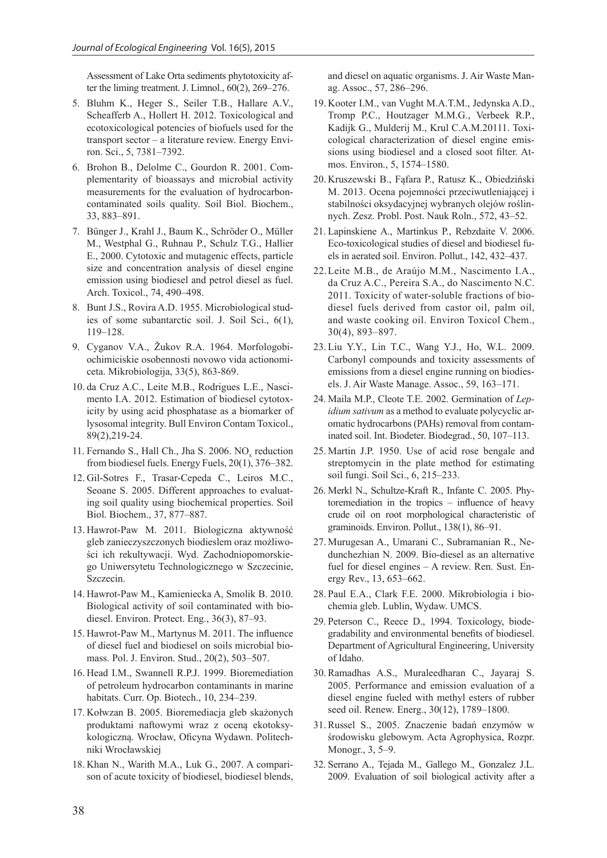Assessment of Lake Orta sediments phytotoxicity after the liming treatment. J. Limnol., 60(2), 269–276.

- 5. Bluhm K., Heger S., Seiler T.B., Hallare A.V., Scheafferb A., Hollert H. 2012. Toxicological and ecotoxicological potencies of biofuels used for the transport sector – a literature review. Energy Environ. Sci., 5, 7381–7392.
- 6. Brohon B., Delolme C., Gourdon R. 2001. Complementarity of bioassays and microbial activity measurements for the evaluation of hydrocarboncontaminated soils quality. Soil Biol. Biochem., 33, 883–891.
- 7. Bünger J., Krahl J., Baum K., Schröder O., Müller M., Westphal G., Ruhnau P., Schulz T.G., Hallier E., 2000. Cytotoxic and mutagenic effects, particle size and concentration analysis of diesel engine emission using biodiesel and petrol diesel as fuel. Arch. Toxicol., 74, 490–498.
- 8. Bunt J.S., Rovira A.D. 1955. Microbiological studies of some subantarctic soil. J. Soil Sci., 6(1), 119–128.
- 9. Cyganov V.A., Žukov R.A. 1964. Morfologobiochimiciskie osobennosti novowo vida actionomiceta. Mikrobiologija, 33(5), 863-869.
- 10. da Cruz A.C., Leite M.B., Rodrigues L.E., Nascimento I.A. 2012. Estimation of biodiesel cytotoxicity by using acid phosphatase as a biomarker of lysosomal integrity. Bull Environ Contam Toxicol., 89(2),219-24.
- 11. Fernando S., Hall Ch., Jha S. 2006. NO<sub>x</sub> reduction from biodiesel fuels. Energy Fuels, 20(1), 376–382.
- 12. Gil-Sotres F., Trasar-Cepeda C., Leiros M.C., Seoane S. 2005. Different approaches to evaluating soil quality using biochemical properties. Soil Biol. Biochem., 37, 877–887.
- 13. Hawrot-Paw M. 2011. Biologiczna aktywność gleb zanieczyszczonych biodieslem oraz możliwości ich rekultywacji. Wyd. Zachodniopomorskiego Uniwersytetu Technologicznego w Szczecinie, Szczecin.
- 14. Hawrot-Paw M., Kamieniecka A, Smolik B. 2010. Biological activity of soil contaminated with biodiesel. Environ. Protect. Eng., 36(3), 87–93.
- 15. Hawrot-Paw M., Martynus M. 2011. The influence of diesel fuel and biodiesel on soils microbial biomass. Pol. J. Environ. Stud., 20(2), 503–507.
- 16. Head I.M., Swannell R.P.J. 1999. Bioremediation of petroleum hydrocarbon contaminants in marine habitats. Curr. Op. Biotech., 10, 234–239.
- 17. Kołwzan B. 2005. Bioremediacja gleb skażonych produktami naftowymi wraz z oceną ekotoksykologiczną. Wrocław, Oficyna Wydawn. Politechniki Wrocławskiej
- 18. Khan N., Warith M.A., Luk G., 2007. A comparison of acute toxicity of biodiesel, biodiesel blends,

and diesel on aquatic organisms. J. Air Waste Manag. Assoc., 57, 286–296.

- 19. Kooter I.M., van Vught M.A.T.M., Jedynska A.D., Tromp P.C., Houtzager M.M.G., Verbeek R.P., Kadijk G., Mulderij M., Krul C.A.M.20111. Toxicological characterization of diesel engine emissions using biodiesel and a closed soot filter. Atmos. Environ., 5, 1574–1580.
- 20. Kruszewski B., Fąfara P., Ratusz K., Obiedziński M. 2013. Ocena pojemności przeciwutleniającej i stabilności oksydacyjnej wybranych olejów roślinnych. Zesz. Probl. Post. Nauk Roln., 572, 43–52.
- 21. Lapinskiene A., Martinkus P., Rebzdaite V. 2006. Eco-toxicological studies of diesel and biodiesel fuels in aerated soil. Environ. Pollut., 142, 432–437.
- 22.Leite M.B., de Araújo M.M., Nascimento I.A., da Cruz A.C., Pereira S.A., do Nascimento N.C. 2011. Toxicity of water-soluble fractions of biodiesel fuels derived from castor oil, palm oil, and waste cooking oil. Environ Toxicol Chem., 30(4), 893–897.
- 23. Liu Y.Y., Lin T.C., Wang Y.J., Ho, W.L. 2009. Carbonyl compounds and toxicity assessments of emissions from a diesel engine running on biodiesels. J. Air Waste Manage. Assoc., 59, 163–171.
- 24. Maila M.P., Cleote T.E. 2002. Germination of *Lepidium sativum* as a method to evaluate polycyclic aromatic hydrocarbons (PAHs) removal from contaminated soil. Int. Biodeter. Biodegrad., 50, 107–113.
- 25. Martin J.P. 1950. Use of acid rose bengale and streptomycin in the plate method for estimating soil fungi. Soil Sci., 6, 215–233.
- 26. Merkl N., Schultze-Kraft R., Infante C. 2005. Phytoremediation in the tropics – influence of heavy crude oil on root morphological characteristic of graminoids. Environ. Pollut., 138(1), 86–91.
- 27. Murugesan A., Umarani C., Subramanian R., Nedunchezhian N. 2009. Bio-diesel as an alternative fuel for diesel engines – A review. Ren. Sust. Energy Rev., 13, 653–662.
- 28. Paul E.A., Clark F.E. 2000. Mikrobiologia i biochemia gleb. Lublin, Wydaw. UMCS.
- 29. Peterson C., Reece D., 1994. Toxicology, biodegradability and environmental benefits of biodiesel. Department of Agricultural Engineering, University of Idaho.
- 30. Ramadhas A.S., Muraleedharan C., Jayaraj S. 2005. Performance and emission evaluation of a diesel engine fueled with methyl esters of rubber seed oil. Renew. Energ., 30(12), 1789–1800.
- 31. Russel S., 2005. Znaczenie badań enzymów w środowisku glebowym. Acta Agrophysica, Rozpr. Monogr., 3, 5–9.
- 32. Serrano A., Tejada M., Gallego M., Gonzalez J.L. 2009. Evaluation of soil biological activity after a